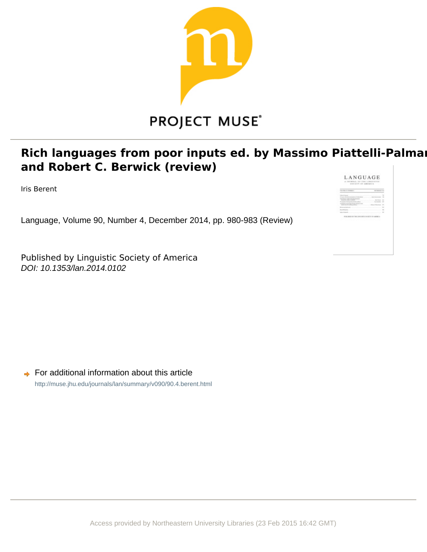

# **Rich languages from poor inputs ed. by Massimo Piattelli-Palmar** and Robert C. Berwick (review)

Iris Berent

Language, Volume 90, Number 4, December 2014, pp. 980-983 (Review)

Published by Linguistic Society of America DOI: 10.1353/lan.2014.0102

 $\rightarrow$  For additional information about this article <http://muse.jhu.edu/journals/lan/summary/v090/90.4.berent.html>

| <b>Andrew Construction</b><br><b>STATISTICS</b> | ×<br>÷<br>$\sim$<br>÷             |
|-------------------------------------------------|-----------------------------------|
|                                                 | THE LIMIT WAS TOO RETURN AND REAL |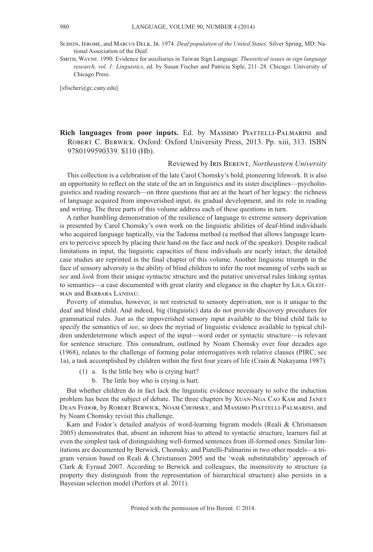- Schein, Jerome, and Marcus Delk, Jr. 1974. *Deaf population of the United States*. Silver Spring, MD: National Association of the Deaf.
- Smith, Wayne. 1990. Evidence for auxiliaries in Taiwan Sign Language. *Theoretical issues in sign language research, vol. 1: Linguistics*, ed. by Susan Fischer and Patricia Siple, 211–28. Chicago: University of Chicago Press.

[sfischer@gc.cuny.edu]

# **Rich languages from poor inputs.** Ed. by Massimo Piattelli-Palmarini and Robert C. Berwick. Oxford: Oxford University Press, 2013. Pp. xiii, 313. ISBN 9780199590339. \$110 (Hb).

#### Reviewed by Iris Berent, *Northeastern University*

This collection is a celebration of the late Carol Chomsky's bold, pioneering lifework. It is also an opportunity to reflect on the state of the art in linguistics and its sister disciplines—psycholinguistics and reading research—on three questions that are at the heart of her legacy: the richness of language acquired from impoverished input, its gradual development, and its role in reading and writing. The three parts of this volume address each of these questions in turn.

A rather humbling demonstration of the resilience of language to extreme sensory deprivation is presented by Carol Chomsky's own work on the linguistic abilities of deaf-blind individuals who acquired language haptically, via the Tadoma method (a method that allows language learners to perceive speech by placing their hand on the face and neck of the speaker). Despite radical limitations in input, the linguistic capacities of these individuals are nearly intact; the detailed case studies are reprinted in the final chapter of this volume. Another linguistic triumph in the face of sensory adversity is the ability of blind children to infer the root meaning of verbs such as *see* and *look* from their unique syntactic structure and the putative universal rules linking syntax to semantics—a case documented with great clarity and elegance in the chapter by LILA GLEITman and Barbara Landau.

Poverty of stimulus, however, is not restricted to sensory deprivation, nor is it unique to the deaf and blind child. And indeed, big (linguistic) data do not provide discovery procedures for grammatical rules. Just as the impoverished sensory input available to the blind child fails to specify the semantics of *see*, so does the myriad of linguistic evidence available to typical children underdetermine which aspect of the input—word order or syntactic structure—is relevant for sentence structure. This conundrum, outlined by Noam Chomsky over four decades ago (1968), relates to the challenge of forming polar interrogatives with relative clauses (PIRC, see 1a), a task accomplished by children within the first four years of life (Crain & Nakayama 1987).

- (1) a. Is the little boy who is crying hurt?
	- b. The little boy who is crying is hurt.

But whether children do in fact lack the linguistic evidence necessary to solve the induction problem has been the subject of debate. The three chapters by Xuan-Nga Cao Kam and Janet Dean Fodor, by Robert Berwick, Noam Chomsky, and Massimo Piattelli-Palmarini, and by Noam Chomsky revisit this challenge.

Kam and Fodor's detailed analysis of word-learning bigram models (Reali & Christiansen 2005) demonstrates that, absent an inherent bias to attend to syntactic structure, learners fail at even the simplest task of distinguishing well-formed sentences from ill-formed ones. Similar limitations are documented by Berwick, Chomsky, and Piatelli-Palmarini in two other models—a trigram version based on Reali & Christiansen 2005 and the 'weak substitutability' approach of Clark & Eyraud 2007. According to Berwick and colleagues, the insensitivity to structure (a property they distinguish from the representation of hierarchical structure) also persists in a Bayesian selection model (Perfors et al. 2011).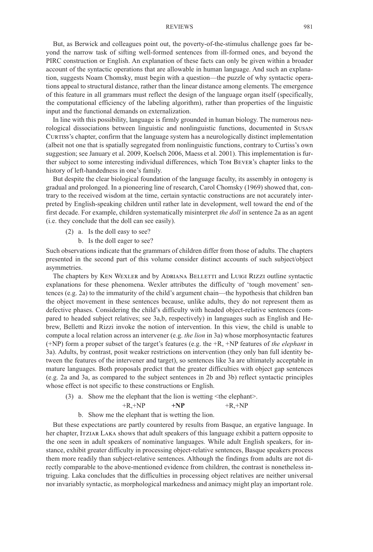#### REVIEWS 981

But, as Berwick and colleagues point out, the poverty-of-the-stimulus challenge goes far beyond the narrow task of sifting well-formed sentences from ill-formed ones, and beyond the PIRC construction or English. An explanation of these facts can only be given within a broader account of the syntactic operations that are allowable in human language. And such an explanation, suggests Noam Chomsky, must begin with a question—the puzzle of why syntactic operations appeal to structural distance, rather than the linear distance among elements. The emergence of this feature in all grammars must reflect the design of the language organ itself (specifically, the computational efficiency of the labeling algorithm), rather than properties of the linguistic input and the functional demands on externalization.

In line with this possibility, language is firmly grounded in human biology. The numerous neurological dissociations between linguistic and nonlinguistic functions, documented in Susan CURTISS's chapter, confirm that the language system has a neurologically distinct implementation (albeit not one that is spatially segregated from nonlinguistic functions, contrary to Curtiss's own suggestion; see January et al. 2009, Koelsch 2006, Maess et al. 2001). This implementation is further subject to some interesting individual differences, which Tom Bever's chapter links to the history of left-handedness in one's family.

But despite the clear biological foundation of the language faculty, its assembly in ontogeny is gradual and prolonged. In a pioneering line of research, Carol Chomsky (1969) showed that, contrary to the received wisdom at the time, certain syntactic constructions are not accurately interpreted by English-speaking children until rather late in development, well toward the end of the first decade. For example, children systematically misinterpret *the doll* in sentence 2a as an agent (i.e. they conclude that the doll can see easily).

- (2) a. Is the doll easy to see?
	- b. Is the doll eager to see?

Such observations indicate that the grammars of children differ from those of adults. The chapters presented in the second part of this volume consider distinct accounts of such subject/object asymmetries.

The chapters by Ken Wexler and by Adriana Belletti and Luigi Rizzi outline syntactic explanations for these phenomena. Wexler attributes the difficulty of 'tough movement' sentences (e.g. 2a) to the immaturity of the child's argument chain—the hypothesis that children ban the object movement in these sentences because, unlike adults, they do not represent them as defective phases. Considering the child's difficulty with headed object-relative sentences (compared to headed subject relatives; see 3a,b, respectively) in languages such as English and Hebrew, Belletti and Rizzi invoke the notion of intervention. In this view, the child is unable to compute a local relation across an intervener (e.g. *the lion* in 3a) whose morphosyntactic features (+NP) form a proper subset of the target's features (e.g. the +R, +NP features of *the elephant* in 3a). Adults, by contrast, posit weaker restrictions on intervention (they only ban full identity between the features of the intervener and target), so sentences like 3a are ultimately acceptable in mature languages. Both proposals predict that the greater difficulties with object gap sentences (e.g. 2a and 3a, as compared to the subject sentences in 2b and 3b) reflect syntactic principles whose effect is not specific to these constructions or English.

(3) a. Show me the elephant that the lion is wetting <the elephant>.

$$
+R,+NP \qquad \qquad +NP \qquad \qquad +R,+NP
$$

b. Show me the elephant that is wetting the lion.

But these expectations are partly countered by results from Basque, an ergative language. In her chapter, Itziar Laka shows that adult speakers of this language exhibit a pattern opposite to the one seen in adult speakers of nominative languages. While adult English speakers, for instance, exhibit greater difficulty in processing object-relative sentences, Basque speakers process them more readily than subject-relative sentences. Although the findings from adults are not directly comparable to the above-mentioned evidence from children, the contrast is nonetheless intriguing. Laka concludes that the difficulties in processing object relatives are neither universal nor invariably syntactic, as morphological markedness and animacy might play an important role.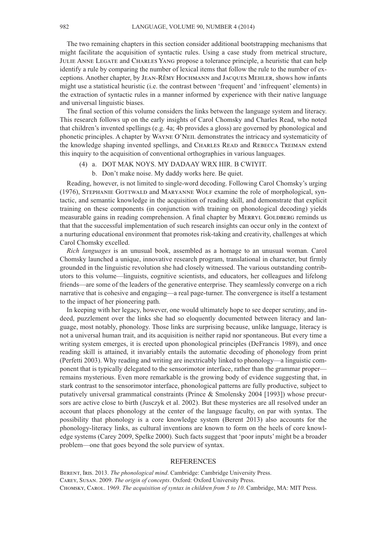The two remaining chapters in this section consider additional bootstrapping mechanisms that might facilitate the acquisition of syntactic rules. Using a case study from metrical structure, Julie Anne Legate and Charles Yang propose a tolerance principle, a heuristic that can help identify a rule by comparing the number of lexical items that follow the rule to the number of exceptions. Another chapter, by Jean-Rêmy Hochmann and Jacques Mehler, shows how infants might use a statistical heuristic (i.e. the contrast between 'frequent' and 'infrequent' elements) in the extraction of syntactic rules in a manner informed by experience with their native language and universal linguistic biases.

The final section of this volume considers the links between the language system and literacy. This research follows up on the early insights of Carol Chomsky and Charles Read, who noted that children's invented spellings (e.g. 4a; 4b provides a gloss) are governed by phonological and phonetic principles. A chapter by Wayne O'Neil demonstrates the intricacy and systematicity of the knowledge shaping invented spellings, and Charles Read and Rebecca Treiman extend this inquiry to the acquisition of conventional orthographies in various languages.

### (4) a. DOT MAK NOYS. MY DADAAY WRX HIR. B CWIYIT.

b. Don't make noise. My daddy works here. Be quiet.

Reading, however, is not limited to single-word decoding. Following Carol Chomsky's urging (1976), STEPHANIE GOTTWALD and MARYANNE WOLF examine the role of morphological, syntactic, and semantic knowledge in the acquisition of reading skill, and demonstrate that explicit training on these components (in conjunction with training on phonological decoding) yields measurable gains in reading comprehension. A final chapter by MERRYL GOLDBERG reminds us that that the successful implementation of such research insights can occur only in the context of a nurturing educational environment that promotes risk-taking and creativity, challenges at which Carol Chomsky excelled.

*Rich languages* is an unusual book, assembled as a homage to an unusual woman. Carol Chomsky launched a unique, innovative research program, translational in character, but firmly grounded in the linguistic revolution she had closely witnessed. The various outstanding contributors to this volume—linguists, cognitive scientists, and educators, her colleagues and lifelong friends—are some of the leaders of the generative enterprise. They seamlessly converge on a rich narrative that is cohesive and engaging—a real page-turner. The convergence is itself a testament to the impact of her pioneering path.

In keeping with her legacy, however, one would ultimately hope to see deeper scrutiny, and indeed, puzzlement over the links she had so eloquently documented between literacy and language, most notably, phonology. Those links are surprising because, unlike language, literacy is not a universal human trait, and its acquisition is neither rapid nor spontaneous. But every time a writing system emerges, it is erected upon phonological principles (DeFrancis 1989), and once reading skill is attained, it invariably entails the automatic decoding of phonology from print (Perfetti 2003). Why reading and writing are inextricably linked to phonology—a linguistic component that is typically delegated to the sensorimotor interface, rather than the grammar proper remains mysterious. Even more remarkable is the growing body of evidence suggesting that, in stark contrast to the sensorimotor interface, phonological patterns are fully productive, subject to putatively universal grammatical constraints (Prince & Smolensky 2004 [1993]) whose precursors are active close to birth (Jusczyk et al. 2002). But these mysteries are all resolved under an account that places phonology at the center of the language faculty, on par with syntax. The possibility that phonology is a core knowledge system (Berent 2013) also accounts for the phonology-literacy links, as cultural inventions are known to form on the heels of core knowledge systems (Carey 2009, Spelke 2000). Such facts suggest that 'poor inputs'might be a broader problem—one that goes beyond the sole purview of syntax.

## **REFERENCES**

Berent, Iris. 2013. *The phonological mind*. Cambridge: Cambridge University Press. Carey, Susan. 2009. *The origin of concepts*. Oxford: Oxford University Press. Chomsky, Carol. 1969. *The acquisition of syntax in children from 5 to 10*. Cambridge, MA: MIT Press.